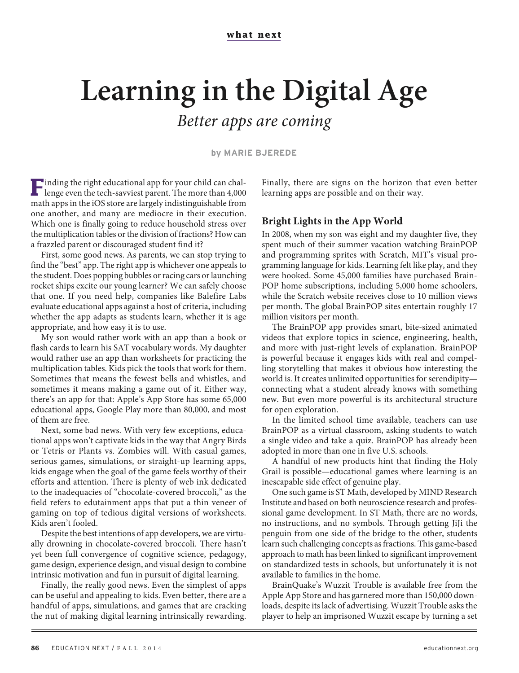## **Learning in the Digital Age** Better apps are coming

**by MARIE BJEREDE**

**F**inding the right educational app for your child can challenge even the tech-savviest parent. The more than 4,000 math apps in the iOS store are largely indistinguishable from one another, and many are mediocre in their execution. Which one is finally going to reduce household stress over the multiplication tables or the division of fractions? How can a frazzled parent or discouraged student find it?

First, some good news. As parents, we can stop trying to find the "best" app. The right app is whichever one appeals to the student. Does popping bubbles or racing cars or launching rocket ships excite our young learner? We can safely choose that one. If you need help, companies like Balefire Labs evaluate educational apps against a host of criteria, including whether the app adapts as students learn, whether it is age appropriate, and how easy it is to use.

My son would rather work with an app than a book or flash cards to learn his SAT vocabulary words. My daughter would rather use an app than worksheets for practicing the multiplication tables. Kids pick the tools that work for them. Sometimes that means the fewest bells and whistles, and sometimes it means making a game out of it. Either way, there's an app for that: Apple's App Store has some 65,000 educational apps, Google Play more than 80,000, and most of them are free.

Next, some bad news. With very few exceptions, educational apps won't captivate kids in the way that Angry Birds or Tetris or Plants vs. Zombies will. With casual games, serious games, simulations, or straight-up learning apps, kids engage when the goal of the game feels worthy of their efforts and attention. There is plenty of web ink dedicated to the inadequacies of "chocolate-covered broccoli," as the field refers to edutainment apps that put a thin veneer of gaming on top of tedious digital versions of worksheets. Kids aren't fooled.

Despite the best intentions of app developers, we are virtually drowning in chocolate-covered broccoli. There hasn't yet been full convergence of cognitive science, pedagogy, game design, experience design, and visual design to combine intrinsic motivation and fun in pursuit of digital learning.

Finally, the really good news. Even the simplest of apps can be useful and appealing to kids. Even better, there are a handful of apps, simulations, and games that are cracking the nut of making digital learning intrinsically rewarding.

Finally, there are signs on the horizon that even better learning apps are possible and on their way.

## **Bright Lights in the App World**

In 2008, when my son was eight and my daughter five, they spent much of their summer vacation watching BrainPOP and programming sprites with Scratch, MIT's visual programming language for kids. Learning felt like play, and they were hooked. Some 45,000 families have purchased Brain-POP home subscriptions, including 5,000 home schoolers, while the Scratch website receives close to 10 million views per month. The global BrainPOP sites entertain roughly 17 million visitors per month.

The BrainPOP app provides smart, bite-sized animated videos that explore topics in science, engineering, health, and more with just-right levels of explanation. BrainPOP is powerful because it engages kids with real and compelling storytelling that makes it obvious how interesting the world is. It creates unlimited opportunities for serendipity connecting what a student already knows with something new. But even more powerful is its architectural structure for open exploration.

In the limited school time available, teachers can use BrainPOP as a virtual classroom, asking students to watch a single video and take a quiz. BrainPOP has already been adopted in more than one in five U.S. schools.

A handful of new products hint that finding the Holy Grail is possible—educational games where learning is an inescapable side effect of genuine play.

One such game is ST Math, developed by MIND Research Institute and based on both neuroscience research and professional game development. In ST Math, there are no words, no instructions, and no symbols. Through getting JiJi the penguin from one side of the bridge to the other, students learn such challenging concepts as fractions. This game-based approach to math has been linked to significant improvement on standardized tests in schools, but unfortunately it is not available to families in the home.

BrainQuake's Wuzzit Trouble is available free from the Apple App Store and has garnered more than 150,000 downloads, despite its lack of advertising. Wuzzit Trouble asks the player to help an imprisoned Wuzzit escape by turning a set